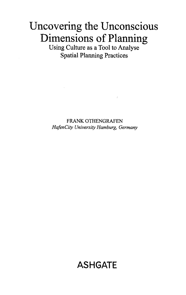## Uncovering the Unconscious Dimensions of Planning

Using Culture as a Tool to Analyse Spatial Planning Practices

FRANK OTHENGRAFEN HafenCity University Hamburg, Germany

## ASHGATE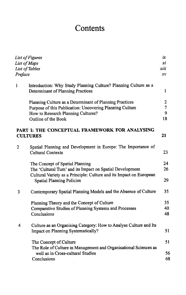## **Contents**

| List of Figures |                                                                                                                                                                      | ix       |
|-----------------|----------------------------------------------------------------------------------------------------------------------------------------------------------------------|----------|
|                 | List of Maps                                                                                                                                                         |          |
|                 | List of Tables                                                                                                                                                       |          |
| Preface         |                                                                                                                                                                      |          |
| 1               | Introduction: Why Study Planning Culture? Planning Culture as a<br>Determinant of Planning Practices                                                                 | 1        |
|                 | Planning Culture as a Determinant of Planning Practices                                                                                                              | 2        |
|                 | Purpose of this Publication: Uncovering Planning Culture                                                                                                             | 7        |
|                 | How to Research Planning Cultures?                                                                                                                                   | 9        |
|                 | Outline of the Book                                                                                                                                                  | 18       |
|                 | PART I: THE CONCEPTUAL FRAMEWORK FOR ANALYSING<br><b>CULTURES</b>                                                                                                    | 21       |
| $\overline{c}$  | Spatial Planning and Development in Europe: The Importance of<br><b>Cultural Contexts</b>                                                                            | 23       |
|                 | The Concept of Spatial Planning                                                                                                                                      | 24       |
|                 | The 'Cultural Turn' and its Impact on Spatial Development<br>Cultural Variety as a Principle: Culture and its Impact on European<br><b>Spatial Planning Policies</b> | 26<br>29 |
| 3               | Contemporary Spatial Planning Models and the Absence of Culture                                                                                                      | 35       |
|                 | Planning Theory and the Concept of Culture                                                                                                                           | 35       |
|                 | Comparative Studies of Planning Systems and Processes                                                                                                                | 40       |
|                 | Conclusions                                                                                                                                                          | 48       |
| 4               | Culture as an Organising Category: How to Analyse Culture and Its<br>Impact on Planning Systematically?                                                              | 51       |
|                 | The Concept of Culture<br>The Role of Culture in Management and Organisational Sciences as                                                                           | 51       |
|                 | well as in Cross-cultural Studies                                                                                                                                    | 56       |
|                 | Conclusions                                                                                                                                                          | 68       |

l,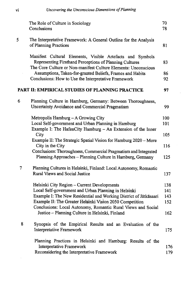|   | The Role of Culture in Sociology<br>Conclusions                                                                                                                                        | 70<br>78 |
|---|----------------------------------------------------------------------------------------------------------------------------------------------------------------------------------------|----------|
| 5 | The Interpretative Framework: A General Outline for the Analysis<br>of Planning Practices                                                                                              | 81       |
|   | Manifest Cultural Elements, Visible Artefacts and Symbols<br>Representing Firsthand Perceptions of Planning Cultures<br>The Core Culture or Non-manifest Culture Elements: Unconscious | 83       |
|   | Assumptions, Taken-for-granted Beliefs, Frames and Habits<br>Conclusions: How to Use the Interpretative Framework                                                                      | 86<br>92 |
|   | PART II: EMPIRICAL STUDIES OF PLANNING PRACTICE                                                                                                                                        | 97       |
| 6 | Planning Culture in Hamburg, Germany: Between Thoroughness,<br>Uncertainty Avoidance and Commercial Pragmatism                                                                         | 99       |
|   | Metropolis Hamburg - A Growing City                                                                                                                                                    | 100      |
|   | Local Self-government and Urban Planning in Hamburg<br>Example I: The HafenCity Hamburg $-$ An Extension of the Inner                                                                  | 101      |
|   | City                                                                                                                                                                                   | 105      |
|   | Example II: The Strategic Spatial Vision for Hamburg 2020 - More<br>City in the City                                                                                                   | 116      |
|   | Conclusions: Thoroughness, Commercial Pragmatism and Integrated<br>Planning Approaches - Planning Culture in Hamburg, Germany                                                          | 125      |
| 7 | Planning Cultures in Helsinki, Finland: Local Autonomy, Romantic<br>Rural Views and Social Justice                                                                                     | 137      |
|   | Helsinki City Region - Current Developments                                                                                                                                            | 138      |
|   | Local Self-government and Urban Planning in Helsinki                                                                                                                                   | 141      |
|   | Example I: The New Residential and Working District of Jätkäsaari                                                                                                                      | 143      |
|   | Example II: The Greater Helsinki Vision 2050 Competition<br>Conclusions: Local Autonomy, Romantic Rural Views and Social                                                               | 152      |
|   | Justice - Planning Culture in Helsinki, Finland                                                                                                                                        | 162      |
| 8 | Synopsis of the Empirical Results and an Evaluation of the<br>Interpretative Framework                                                                                                 |          |
|   |                                                                                                                                                                                        | 175      |
|   | Planning Practices in Helsinki and Hamburg: Results of the<br>Interpretative Framework                                                                                                 | 176      |
|   | Reconsidering the Interpretative Framework                                                                                                                                             | 179      |

l,